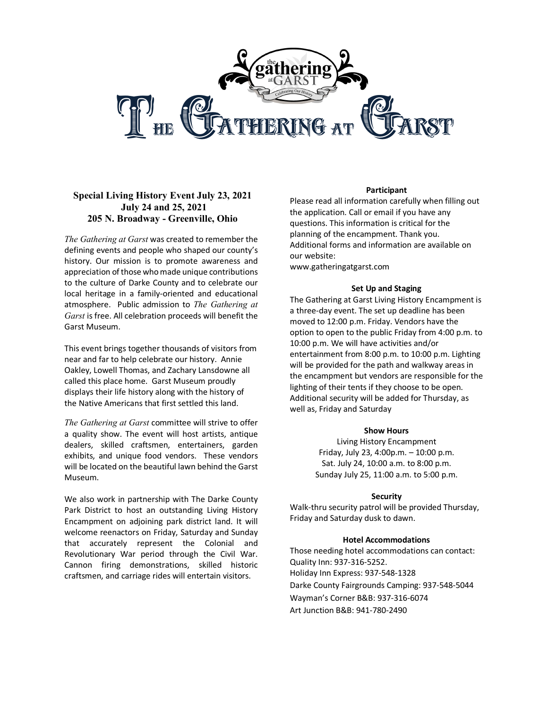

## **Special Living History Event July 23, 2021 July 24 and 25, 2021 205 N. Broadway - Greenville, Ohio**

*The Gathering at Garst* was created to remember the defining events and people who shaped our county's history. Our mission is to promote awareness and appreciation of those who made unique contributions to the culture of Darke County and to celebrate our local heritage in a family-oriented and educational atmosphere. Public admission to *The Gathering at Garst* is free. All celebration proceeds will benefit the Garst Museum.

This event brings together thousands of visitors from near and far to help celebrate our history. Annie Oakley, Lowell Thomas, and Zachary Lansdowne all called this place home. Garst Museum proudly displays their life history along with the history of the Native Americans that first settled this land.

*The Gathering at Garst* committee will strive to offer a quality show. The event will host artists, antique dealers, skilled craftsmen, entertainers, garden exhibits, and unique food vendors. These vendors will be located on the beautiful lawn behind the Garst Museum.

We also work in partnership with The Darke County Park District to host an outstanding Living History Encampment on adjoining park district land. It will welcome reenactors on Friday, Saturday and Sunday that accurately represent the Colonial and Revolutionary War period through the Civil War. Cannon firing demonstrations, skilled historic craftsmen, and carriage rides will entertain visitors.

#### **Participant**

Please read all information carefully when filling out the application. Call or email if you have any questions. This information is critical for the planning of the encampment. Thank you. Additional forms and information are available on our website:

www.gatheringatgarst.com

#### **Set Up and Staging**

The Gathering at Garst Living History Encampment is a three-day event. The set up deadline has been moved to 12:00 p.m. Friday. Vendors have the option to open to the public Friday from 4:00 p.m. to 10:00 p.m. We will have activities and/or entertainment from 8:00 p.m. to 10:00 p.m. Lighting will be provided for the path and walkway areas in the encampment but vendors are responsible for the lighting of their tents if they choose to be open. Additional security will be added for Thursday, as well as, Friday and Saturday

#### **Show Hours**

Living History Encampment Friday, July 23, 4:00p.m. – 10:00 p.m. Sat. July 24, 10:00 a.m. to 8:00 p.m. Sunday July 25, 11:00 a.m. to 5:00 p.m.

### **Security**

Walk-thru security patrol will be provided Thursday, Friday and Saturday dusk to dawn.

### **Hotel Accommodations**

Those needing hotel accommodations can contact: Quality Inn: 937-316-5252. Holiday Inn Express: 937-548-1328 Darke County Fairgrounds Camping: 937-548-5044 Wayman's Corner B&B: 937-316-6074 Art Junction B&B: 941-780-2490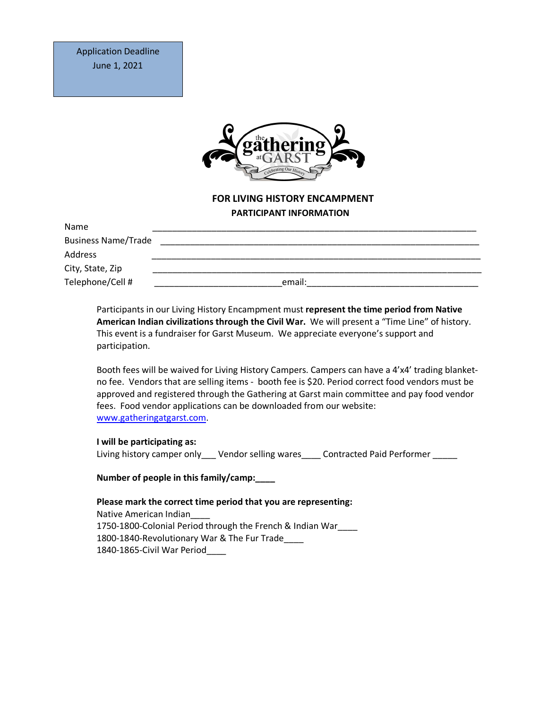

# **FOR LIVING HISTORY ENCAMPMENT PARTICIPANT INFORMATION**

| Name                       |        |
|----------------------------|--------|
| <b>Business Name/Trade</b> |        |
| Address                    |        |
| City, State, Zip           |        |
| Telephone/Cell #           | email: |

Participants in our Living History Encampment must **represent the time period from Native American Indian civilizations through the Civil War.** We will present a "Time Line" of history. This event is a fundraiser for Garst Museum. We appreciate everyone's support and participation.

Booth fees will be waived for Living History Campers. Campers can have a 4'x4' trading blanketno fee. Vendors that are selling items - booth fee is \$20. Period correct food vendors must be approved and registered through the Gathering at Garst main committee and pay food vendor fees. Food vendor applications can be downloaded from our website: www.gatheringatgarst.com.

### **I will be participating as:**

Living history camper only Vendor selling wares Contracted Paid Performer

### **Number of people in this family/camp:\_\_\_\_**

**Please mark the correct time period that you are representing:** Native American Indian\_\_\_\_ 1750-1800-Colonial Period through the French & Indian War\_\_\_\_ 1800-1840-Revolutionary War & The Fur Trade\_\_\_\_ 1840-1865-Civil War Period\_\_\_\_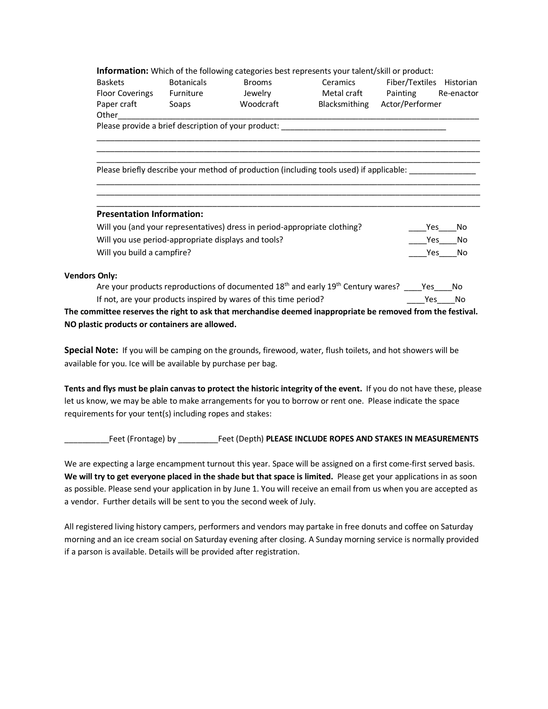**Information:** Which of the following categories best represents your talent/skill or product:

| Baskets                | <b>Botanicals</b> | <b>Brooms</b> | Ceramics      |
|------------------------|-------------------|---------------|---------------|
| <b>Floor Coverings</b> | Furniture         | Jewelry       | Metal craft   |
| Paper craft            | Soaps             | Woodcraft     | Blacksmithing |

Fiber/Textiles Historian Painting Re-enactor Actor/Performer

Please provide a brief description of your product:

Please briefly describe your method of production (including tools used) if applicable:

## **Presentation Information:**

| Will you (and your representatives) dress in period-appropriate clothing? | Yes | No |
|---------------------------------------------------------------------------|-----|----|
| Will you use period-appropriate displays and tools?                       | Yes | No |
| Will you build a campfire?                                                | Yes | No |

Other\_\_\_\_\_\_\_\_\_\_\_\_\_\_\_\_\_\_\_\_\_\_\_\_\_\_\_\_\_\_\_\_\_\_\_\_\_\_\_\_\_\_\_\_\_\_\_\_\_\_\_\_\_\_\_\_\_\_\_\_\_\_\_\_\_\_\_\_\_\_\_\_\_\_\_\_\_\_\_\_\_

\_\_\_\_\_\_\_\_\_\_\_\_\_\_\_\_\_\_\_\_\_\_\_\_\_\_\_\_\_\_\_\_\_\_\_\_\_\_\_\_\_\_\_\_\_\_\_\_\_\_\_\_\_\_\_\_\_\_\_\_\_\_\_\_\_\_\_\_\_\_\_\_\_\_\_\_\_\_\_\_\_\_\_\_\_\_ \_\_\_\_\_\_\_\_\_\_\_\_\_\_\_\_\_\_\_\_\_\_\_\_\_\_\_\_\_\_\_\_\_\_\_\_\_\_\_\_\_\_\_\_\_\_\_\_\_\_\_\_\_\_\_\_\_\_\_\_\_\_\_\_\_\_\_\_\_\_\_\_\_\_\_\_\_\_\_\_\_\_\_\_\_\_ \_\_\_\_\_\_\_\_\_\_\_\_\_\_\_\_\_\_\_\_\_\_\_\_\_\_\_\_\_\_\_\_\_\_\_\_\_\_\_\_\_\_\_\_\_\_\_\_\_\_\_\_\_\_\_\_\_\_\_\_\_\_\_\_\_\_\_\_\_\_\_\_\_\_\_\_\_\_\_\_\_\_\_\_\_\_

\_\_\_\_\_\_\_\_\_\_\_\_\_\_\_\_\_\_\_\_\_\_\_\_\_\_\_\_\_\_\_\_\_\_\_\_\_\_\_\_\_\_\_\_\_\_\_\_\_\_\_\_\_\_\_\_\_\_\_\_\_\_\_\_\_\_\_\_\_\_\_\_\_\_\_\_\_\_\_\_\_\_\_\_\_\_ \_\_\_\_\_\_\_\_\_\_\_\_\_\_\_\_\_\_\_\_\_\_\_\_\_\_\_\_\_\_\_\_\_\_\_\_\_\_\_\_\_\_\_\_\_\_\_\_\_\_\_\_\_\_\_\_\_\_\_\_\_\_\_\_\_\_\_\_\_\_\_\_\_\_\_\_\_\_\_\_\_\_\_\_\_\_ \_\_\_\_\_\_\_\_\_\_\_\_\_\_\_\_\_\_\_\_\_\_\_\_\_\_\_\_\_\_\_\_\_\_\_\_\_\_\_\_\_\_\_\_\_\_\_\_\_\_\_\_\_\_\_\_\_\_\_\_\_\_\_\_\_\_\_\_\_\_\_\_\_\_\_\_\_\_\_\_\_\_\_\_\_\_

### **Vendors Only:**

| mmittee reconsecthe right to ack that morehondice deemed inconventiate he removed from the fective |     |        |
|----------------------------------------------------------------------------------------------------|-----|--------|
| If not, are your products inspired by wares of this time period?                                   |     | Yes No |
| Are your products reproductions of documented $18th$ and early $19th$ Century wares?               | Yes | - No   |

**The committee reserves the right to ask that merchandise deemed inappropriate be removed from the festival. NO plastic products or containers are allowed.**

**Special Note:** If you will be camping on the grounds, firewood, water, flush toilets, and hot showers will be available for you. Ice will be available by purchase per bag.

**Tents and flys must be plain canvas to protect the historic integrity of the event.** If you do not have these, please let us know, we may be able to make arrangements for you to borrow or rent one. Please indicate the space requirements for your tent(s) including ropes and stakes:

\_\_\_\_\_\_\_\_\_\_Feet (Frontage) by \_\_\_\_\_\_\_\_\_Feet (Depth) **PLEASE INCLUDE ROPES AND STAKES IN MEASUREMENTS**

We are expecting a large encampment turnout this year. Space will be assigned on a first come-first served basis. **We will try to get everyone placed in the shade but that space is limited.** Please get your applications in as soon as possible. Please send your application in by June 1. You will receive an email from us when you are accepted as a vendor. Further details will be sent to you the second week of July.

All registered living history campers, performers and vendors may partake in free donuts and coffee on Saturday morning and an ice cream social on Saturday evening after closing. A Sunday morning service is normally provided if a parson is available. Details will be provided after registration.